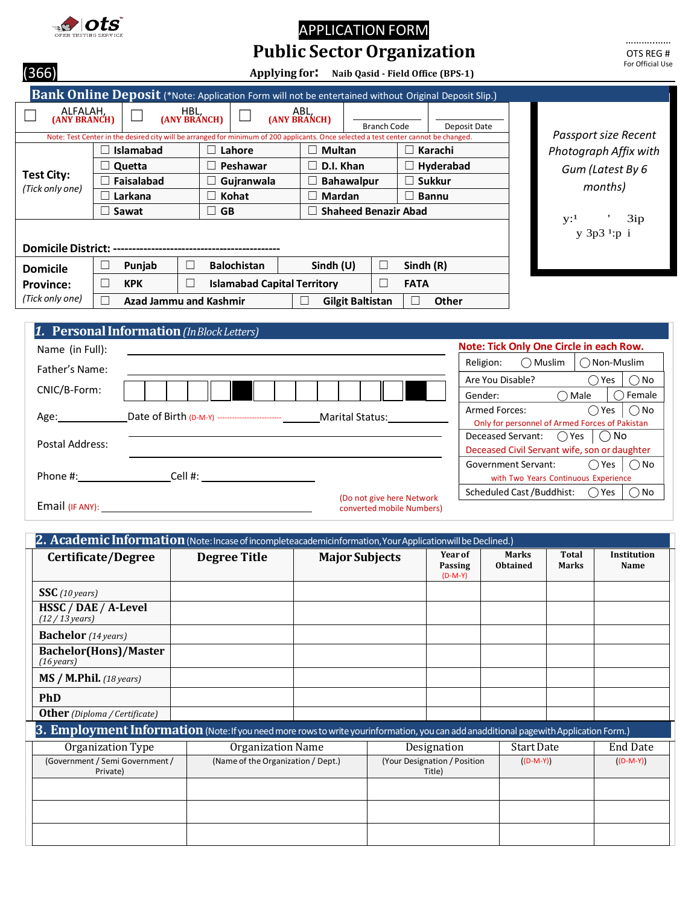

# APPLICATION FORM **Public Sector Organization**

| (366)                                |                                            | Applying for:                                                                                                                                                |                     | Naib Qasid - Field Office (BPS-1) |                                |                                 | For Official Use                                                       |
|--------------------------------------|--------------------------------------------|--------------------------------------------------------------------------------------------------------------------------------------------------------------|---------------------|-----------------------------------|--------------------------------|---------------------------------|------------------------------------------------------------------------|
|                                      |                                            | <b>Bank Online Deposit</b> (*Note: Application Form will not be entertained without Original Deposit Slip.)                                                  |                     |                                   |                                |                                 |                                                                        |
| ALFALAH,<br>(ANY BRANCH)             |                                            | HBL,<br>(ANY BRANCH)<br>Note: Test Center in the desired city will be arranged for minimum of 200 applicants. Once selected a test center cannot be changed. | ABL<br>(ANY BRANCH) | <b>Branch Code</b>                |                                | Deposit Date                    | Passport size Recent                                                   |
|                                      | Islamabad                                  | Lahore                                                                                                                                                       | <b>Multan</b>       |                                   | Karachi                        |                                 | Photograph Affix with                                                  |
|                                      | Quetta                                     | Peshawar                                                                                                                                                     | D.I. Khan           |                                   | Hyderabad                      |                                 | Gum (Latest By 6                                                       |
| <b>Test City:</b><br>(Tick only one) | Faisalabad                                 | Gujranwala                                                                                                                                                   |                     | <b>Bahawalpur</b>                 | <b>Sukkur</b>                  |                                 | months)                                                                |
|                                      | Larkana                                    | Kohat<br>$\overline{\phantom{a}}$                                                                                                                            | Mardan              |                                   | <b>Bannu</b><br>$\blacksquare$ |                                 |                                                                        |
|                                      | Sawat                                      | <b>GB</b><br>$\vert \ \ \vert$                                                                                                                               |                     | <b>Shaheed Benazir Abad</b>       |                                |                                 | $\mathbf{y:}^1$<br>3ip                                                 |
|                                      |                                            |                                                                                                                                                              |                     |                                   |                                |                                 | y 3p3 <sup>1</sup> :p i                                                |
|                                      |                                            |                                                                                                                                                              |                     |                                   |                                |                                 |                                                                        |
| <b>Domicile</b>                      | Punjab<br>$\Box$                           | Г<br><b>Balochistan</b>                                                                                                                                      | Sindh (U)           | П                                 | Sindh (R)                      |                                 |                                                                        |
| <b>Province:</b>                     | П<br><b>KPK</b>                            | <b>Islamabad Capital Territory</b><br>$\mathbf{L}$                                                                                                           |                     | П                                 | <b>FATA</b>                    |                                 |                                                                        |
| (Tick only one)                      | $\Box$                                     | <b>Azad Jammu and Kashmir</b>                                                                                                                                | П                   | <b>Gilgit Baltistan</b>           | <b>Other</b><br>$\perp$        |                                 |                                                                        |
|                                      |                                            |                                                                                                                                                              |                     |                                   |                                |                                 |                                                                        |
|                                      | 1. Personal Information (In Block Letters) |                                                                                                                                                              |                     |                                   |                                |                                 |                                                                        |
| Name (in Full):                      |                                            |                                                                                                                                                              |                     |                                   |                                |                                 | Note: Tick Only One Circle in each Row.                                |
| Father's Name:                       |                                            |                                                                                                                                                              |                     |                                   |                                | Religion:                       | $\bigcap$ Muslim<br>$\bigcap$ Non-Muslim                               |
| CNIC/B-Form:                         |                                            |                                                                                                                                                              |                     |                                   |                                | Are You Disable?                | $\bigcap$ No<br>$\bigcirc$ Yes                                         |
|                                      |                                            |                                                                                                                                                              |                     |                                   |                                | Gender:<br><b>Armed Forces:</b> | $\bigcirc$ Female<br>$\bigcap$ Male<br>$\bigcirc$ Yes<br>$\bigcirc$ No |
| $\Delta \sigma \rho$ .               |                                            | $\int$ ate of Rirth $(n_M, v)$                                                                                                                               |                     | Marital Status:                   |                                |                                 |                                                                        |

| Age:                   | Date of Birth (D-M-Y) ------------------------- | <b>Marital Status:</b>     | Armed Forces:<br>Only for personnel of Armed Forces of Pakistan | ()Yes l               | ()No   |
|------------------------|-------------------------------------------------|----------------------------|-----------------------------------------------------------------|-----------------------|--------|
|                        |                                                 |                            | Deceased Servant: $\bigcirc$ Yes $\bigcirc$ No                  |                       |        |
| Postal Address:        |                                                 |                            | Deceased Civil Servant wife, son or daughter                    |                       |        |
|                        |                                                 |                            | <b>Government Servant:</b>                                      | $\bigcap$ Yes $\big $ | ()No   |
| Phone #:               | Cell #:                                         |                            | with Two Years Continuous Experience                            |                       |        |
|                        |                                                 | (Do not give here Network) | Scheduled Cast / Buddhist:                                      | $\bigcap$ Yes         | ( ) No |
| <b>Email</b> (IF ANY): |                                                 | converted mobile Numbers)  |                                                                 |                       |        |

| 2. Academic Information (Note: Incase of incompleteacademicinformation, Your Applicationwill be Declined.)                            |                                    |                       |                                        |                                 |                       |                     |
|---------------------------------------------------------------------------------------------------------------------------------------|------------------------------------|-----------------------|----------------------------------------|---------------------------------|-----------------------|---------------------|
| Certificate/Degree                                                                                                                    | <b>Degree Title</b>                | <b>Major Subjects</b> | <b>Year of</b><br>Passing<br>$(D-M-Y)$ | <b>Marks</b><br><b>Obtained</b> | Total<br><b>Marks</b> | Institution<br>Name |
| SSC(10 years)                                                                                                                         |                                    |                       |                                        |                                 |                       |                     |
| HSSC / DAE / A-Level<br>$(12/13$ years)                                                                                               |                                    |                       |                                        |                                 |                       |                     |
| <b>Bachelor</b> (14 years)                                                                                                            |                                    |                       |                                        |                                 |                       |                     |
| <b>Bachelor(Hons)/Master</b><br>$(16 \text{ years})$                                                                                  |                                    |                       |                                        |                                 |                       |                     |
| $MS / M.$ Phil. (18 years)                                                                                                            |                                    |                       |                                        |                                 |                       |                     |
| <b>PhD</b>                                                                                                                            |                                    |                       |                                        |                                 |                       |                     |
| <b>Other</b> (Diploma / Certificate)                                                                                                  |                                    |                       |                                        |                                 |                       |                     |
| 3. Employment Information (Note: If you need more rows to write yourinformation, you can add anadditional pagewith Application Form.) |                                    |                       |                                        |                                 |                       |                     |
| Organization Type                                                                                                                     | Organization Name                  |                       | Designation                            | <b>Start Date</b>               |                       | <b>End Date</b>     |
| (Government / Semi Government /<br>Private)                                                                                           | (Name of the Organization / Dept.) |                       | (Your Designation / Position<br>Title) | $((D-M-Y))$                     |                       | $((D-M-Y))$         |
|                                                                                                                                       |                                    |                       |                                        |                                 |                       |                     |
|                                                                                                                                       |                                    |                       |                                        |                                 |                       |                     |
|                                                                                                                                       |                                    |                       |                                        |                                 |                       |                     |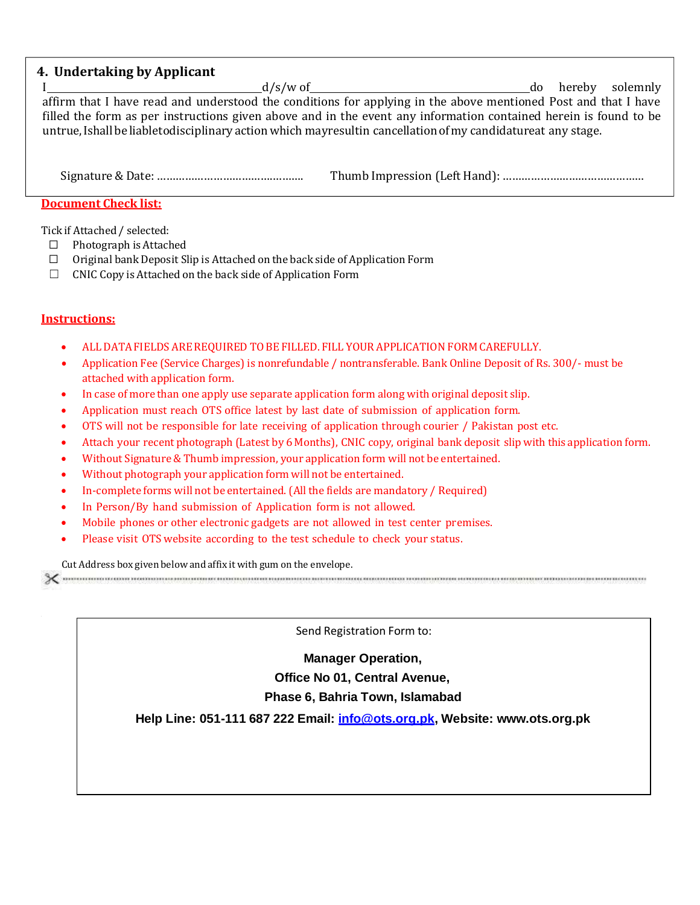## **4. Undertaking by Applicant**

I d/s/w of do hereby solemnly affirm that I have read and understood the conditions for applying in the above mentioned Post and that I have filled the form as per instructions given above and in the event any information contained herein is found to be untrue, Ishall be liabletodisciplinary action which mayresultin cancellation of my candidatureat any stage.

### **Document Check list:**

Tick if Attached / selected:

- ☐ Photograph is Attached
- ☐ Original bank Deposit Slip is Attached on the back side of ApplicationForm
- $\Box$  CNIC Copy is Attached on the back side of Application Form

### **Instructions:**

- ALL DATAFIELDS AREREQUIRED TOBE FILLED. FILL YOUR APPLICATION FORM CAREFULLY.
- Application Fee (Service Charges) is nonrefundable / nontransferable. Bank Online Deposit of Rs. 300/- must be attached with application form.
- In case of more than one apply use separate application form along with original deposit slip.
- Application must reach OTS office latest by last date of submission of application form.
- OTS will not be responsible for late receiving of application through courier / Pakistan post etc.
- Attach your recent photograph (Latest by 6 Months), CNIC copy, original bank deposit slipwith this application form.
- Without Signature& Thumb impression, your application form will not be entertained.
- Without photograph your application form will not be entertained.
- In-complete forms will not be entertained. (All the fields are mandatory / Required)
- In Person/By hand submission of Application form is not allowed.
- Mobile phones or other electronic gadgets are not allowed in test center premises.
- Please visit OTS website according to the test schedule to check your status.

Cut Address box given belowand affix it with gum on the envelope.

 $\chi$  -commutation nonconcernation commutation concernation commutation of the commutation concernation commutation contra

Send Registration Form to:

**Manager Operation, Office No 01, Central Avenue, Phase 6, Bahria Town, Islamabad**

**Help Line: 051-111 687 222 Email: [info@ots.org.pk,](mailto:info@ots.org.pk) Website: [www.ots.org.pk](http://www.ots.org.pk/)**